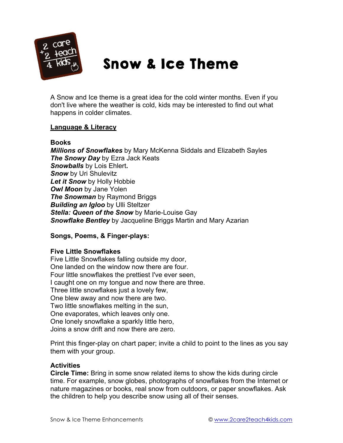

# Snow & Ice Theme

A Snow and Ice theme is a great idea for the cold winter months. Even if you don't live where the weather is cold, kids may be interested to find out what happens in colder climates.

# **Language & Literacy**

#### **Books**

*Millions of Snowflakes* by Mary McKenna Siddals and Elizabeth Sayles *The Snowy Day* by Ezra Jack Keats *Snowballs* by Lois Ehlert**.** *Snow* by Uri Shulevitz *Let it Snow* by Holly Hobbie *Owl Moon* by Jane Yolen *The Snowman* by Raymond Briggs *Building an Igloo* by Ulli Steltzer *Stella: Queen of the Snow* by Marie-Louise Gay *Snowflake Bentley* by Jacqueline Briggs Martin and Mary Azarian

# **Songs, Poems, & Finger-plays:**

#### **Five Little Snowflakes**

Five Little Snowflakes falling outside my door, One landed on the window now there are four. Four little snowflakes the prettiest I've ever seen, I caught one on my tongue and now there are three. Three little snowflakes just a lovely few, One blew away and now there are two. Two little snowflakes melting in the sun, One evaporates, which leaves only one. One lonely snowflake a sparkly little hero, Joins a snow drift and now there are zero.

Print this finger-play on chart paper; invite a child to point to the lines as you say them with your group.

#### **Activities**

**Circle Time:** Bring in some snow related items to show the kids during circle time. For example, snow globes, photographs of snowflakes from the Internet or nature magazines or books, real snow from outdoors, or paper snowflakes. Ask the children to help you describe snow using all of their senses.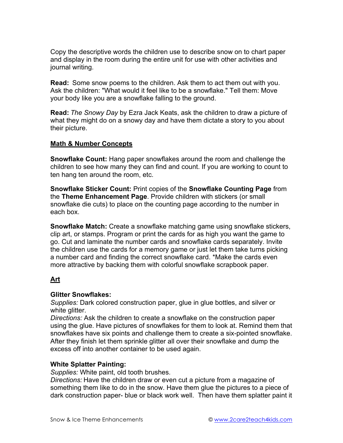Copy the descriptive words the children use to describe snow on to chart paper and display in the room during the entire unit for use with other activities and journal writing.

**Read:** Some snow poems to the children. Ask them to act them out with you. Ask the children: "What would it feel like to be a snowflake." Tell them: Move your body like you are a snowflake falling to the ground.

**Read:** *The Snowy Day* by Ezra Jack Keats, ask the children to draw a picture of what they might do on a snowy day and have them dictate a story to you about their picture.

#### **Math & Number Concepts**

**Snowflake Count:** Hang paper snowflakes around the room and challenge the children to see how many they can find and count. If you are working to count to ten hang ten around the room, etc.

**Snowflake Sticker Count:** Print copies of the **Snowflake Counting Page** from the **Theme Enhancement Page**. Provide children with stickers (or small snowflake die cuts) to place on the counting page according to the number in each box.

**Snowflake Match:** Create a snowflake matching game using snowflake stickers, clip art, or stamps. Program or print the cards for as high you want the game to go. Cut and laminate the number cards and snowflake cards separately. Invite the children use the cards for a memory game or just let them take turns picking a number card and finding the correct snowflake card. \*Make the cards even more attractive by backing them with colorful snowflake scrapbook paper.

# **Art**

#### **Glitter Snowflakes:**

*Supplies:* Dark colored construction paper, glue in glue bottles, and silver or white glitter.

*Directions:* Ask the children to create a snowflake on the construction paper using the glue. Have pictures of snowflakes for them to look at. Remind them that snowflakes have six points and challenge them to create a six-pointed snowflake. After they finish let them sprinkle glitter all over their snowflake and dump the excess off into another container to be used again.

#### **White Splatter Painting:**

*Supplies:* White paint, old tooth brushes.

*Directions:* Have the children draw or even cut a picture from a magazine of something them like to do in the snow. Have them glue the pictures to a piece of dark construction paper- blue or black work well. Then have them splatter paint it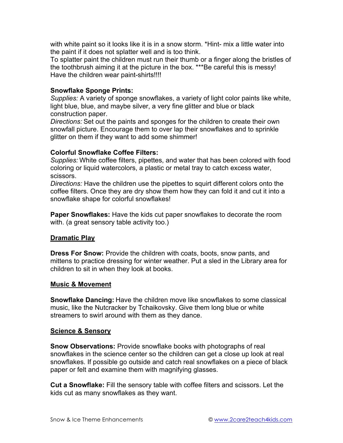with white paint so it looks like it is in a snow storm. \*Hint- mix a little water into the paint if it does not splatter well and is too think.

To splatter paint the children must run their thumb or a finger along the bristles of the toothbrush aiming it at the picture in the box. \*\*\*Be careful this is messy! Have the children wear paint-shirts!!!!

#### **Snowflake Sponge Prints:**

*Supplies:* A variety of sponge snowflakes, a variety of light color paints like white, light blue, blue, and maybe silver, a very fine glitter and blue or black construction paper.

*Directions:* Set out the paints and sponges for the children to create their own snowfall picture. Encourage them to over lap their snowflakes and to sprinkle glitter on them if they want to add some shimmer!

# **Colorful Snowflake Coffee Filters:**

*Supplies:* White coffee filters, pipettes, and water that has been colored with food coloring or liquid watercolors, a plastic or metal tray to catch excess water, scissors.

*Directions:* Have the children use the pipettes to squirt different colors onto the coffee filters. Once they are dry show them how they can fold it and cut it into a snowflake shape for colorful snowflakes!

**Paper Snowflakes:** Have the kids cut paper snowflakes to decorate the room with. (a great sensory table activity too.)

# **Dramatic Play**

**Dress For Snow:** Provide the children with coats, boots, snow pants, and mittens to practice dressing for winter weather. Put a sled in the Library area for children to sit in when they look at books.

#### **Music & Movement**

**Snowflake Dancing:** Have the children move like snowflakes to some classical music, like the Nutcracker by Tchaikovsky. Give them long blue or white streamers to swirl around with them as they dance.

#### **Science & Sensory**

**Snow Observations:** Provide snowflake books with photographs of real snowflakes in the science center so the children can get a close up look at real snowflakes. If possible go outside and catch real snowflakes on a piece of black paper or felt and examine them with magnifying glasses.

**Cut a Snowflake:** Fill the sensory table with coffee filters and scissors. Let the kids cut as many snowflakes as they want.